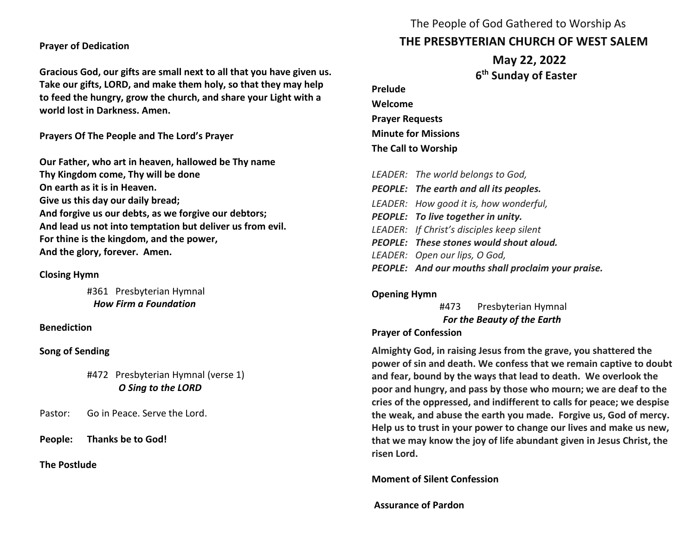**Prayer of Dedication**

**Gracious God, our gifts are small next to all that you have given us. Take our gifts, LORD, and make them holy, so that they may help to feed the hungry, grow the church, and share your Light with a world lost in Darkness. Amen.**

**Prayers Of The People and The Lord's Prayer**

**Our Father, who art in heaven, hallowed be Thy name Thy Kingdom come, Thy will be done On earth as it is in Heaven. Give us this day our daily bread; And forgive us our debts, as we forgive our debtors; And lead us not into temptation but deliver us from evil. For thine is the kingdom, and the power, And the glory, forever. Amen.** 

#### **Closing Hymn**

#361 Presbyterian Hymnal  *How Firm a Foundation*

**Benediction**

**Song of Sending**

#472 Presbyterian Hymnal (verse 1) *O Sing to the LORD*

Pastor: Go in Peace. Serve the Lord.

**People: Thanks be to God!** 

**The Postlude** 

# The People of God Gathered to Worship As **THE PRESBYTERIAN CHURCH OF WEST SALEM**

 **May 22, 2022 6 th Sunday of Easter**

**Prelude Welcome Prayer Requests Minute for Missions The Call to Worship**

| LEADER: The world belongs to God,                  |
|----------------------------------------------------|
| PEOPLE: The earth and all its peoples.             |
| LEADER: How good it is, how wonderful,             |
| PEOPLE: To live together in unity.                 |
| LEADER: If Christ's disciples keep silent          |
| PEOPLE: These stones would shout aloud.            |
| LEADER: Open our lips, O God,                      |
| PEOPLE: And our mouths shall proclaim your praise. |

#### **Opening Hymn**

#473 Presbyterian Hymnal *For the Beauty of the Earth*

#### **Prayer of Confession**

**Almighty God, in raising Jesus from the grave, you shattered the power of sin and death. We confess that we remain captive to doubt and fear, bound by the ways that lead to death. We overlook the poor and hungry, and pass by those who mourn; we are deaf to the cries of the oppressed, and indifferent to calls for peace; we despise the weak, and abuse the earth you made. Forgive us, God of mercy. Help us to trust in your power to change our lives and make us new, that we may know the joy of life abundant given in Jesus Christ, the risen Lord.** 

#### **Moment of Silent Confession**

**Assurance of Pardon**